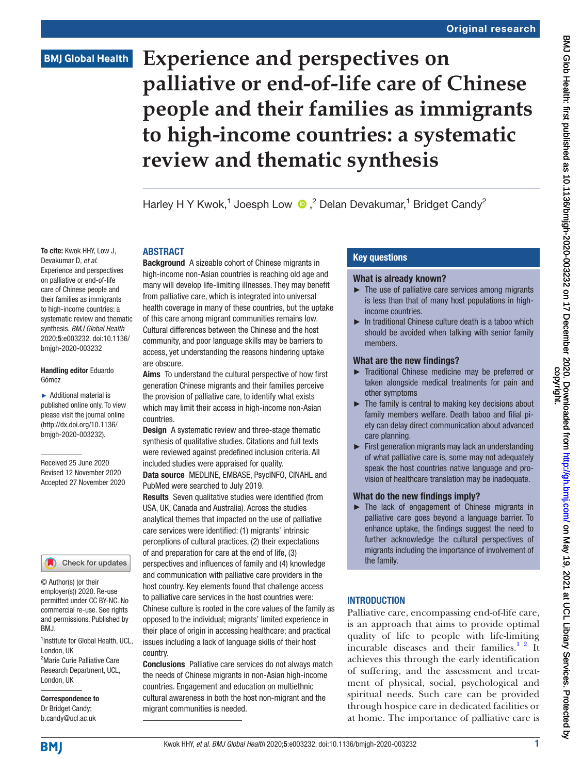### **BMJ Global Health**

# **Experience and perspectives on palliative or end-of-life care of Chinese people and their families as immigrants to high-income countries: a systematic review and thematic synthesis**

Harley H Y Kwok,<sup>1</sup> Joesph Low (D,<sup>2</sup> Delan Devakumar,<sup>1</sup> Bridget Candy<sup>2</sup>

### ABSTRACT

Devakumar D, *et al*. Experience and perspectives on palliative or end-of-life care of Chinese people and their families as immigrants to high-income countries: a systematic review and thematic synthesis. *BMJ Global Health* 2020;5:e003232. doi:10.1136/ bmjgh-2020-003232

### Handling editor Eduardo Gómez

To cite: Kwok HHY, Low J,

► Additional material is published online only. To view please visit the journal online (http://dx.doi.org/10.1136/ bmjgh-2020-003232).

Received 25 June 2020 Revised 12 November 2020 Accepted 27 November 2020

### Check for updates

© Author(s) (or their employer(s)) 2020. Re-use permitted under CC BY-NC. No commercial re-use. See rights and permissions. Published by BMJ.

<sup>1</sup>Institute for Global Health, UCL, London, UK <sup>2</sup>Marie Curie Palliative Care Research Department, UCL, London, UK

Correspondence to Dr Bridget Candy; b.candy@ucl.ac.uk

Background A sizeable cohort of Chinese migrants in high-income non-Asian countries is reaching old age and many will develop life-limiting illnesses. They may benefit from palliative care, which is integrated into universal health coverage in many of these countries, but the uptake of this care among migrant communities remains low. Cultural differences between the Chinese and the host community, and poor language skills may be barriers to access, yet understanding the reasons hindering uptake are obscure.

Aims To understand the cultural perspective of how first generation Chinese migrants and their families perceive the provision of palliative care, to identify what exists which may limit their access in high-income non-Asian countries.

**Design** A systematic review and three-stage thematic synthesis of qualitative studies. Citations and full texts were reviewed against predefined inclusion criteria. All included studies were appraised for quality. Data source MEDLINE, EMBASE, PsycINFO, CINAHL and PubMed were searched to July 2019.

Results Seven qualitative studies were identified (from USA, UK, Canada and Australia). Across the studies analytical themes that impacted on the use of palliative care services were identified: (1) migrants' intrinsic perceptions of cultural practices, (2) their expectations of and preparation for care at the end of life, (3) perspectives and influences of family and (4) knowledge and communication with palliative care providers in the host country. Key elements found that challenge access to palliative care services in the host countries were: Chinese culture is rooted in the core values of the family as opposed to the individual; migrants' limited experience in their place of origin in accessing healthcare; and practical issues including a lack of language skills of their host country.

Conclusions Palliative care services do not always match the needs of Chinese migrants in non-Asian high-income countries. Engagement and education on multiethnic cultural awareness in both the host non-migrant and the migrant communities is needed.

### Key questions

### What is already known?

- ► The use of palliative care services among migrants is less than that of many host populations in highincome countries.
- ► In traditional Chinese culture death is a taboo which should be avoided when talking with senior family members.

### What are the new findings?

- ► Traditional Chinese medicine may be preferred or taken alongside medical treatments for pain and other symptoms
- $\blacktriangleright$  The family is central to making key decisions about family members welfare. Death taboo and filial piety can delay direct communication about advanced care planning.
- ► First generation migrants may lack an understanding of what palliative care is, some may not adequately speak the host countries native language and provision of healthcare translation may be inadequate.

### What do the new findings imply?

► The lack of engagement of Chinese migrants in palliative care goes beyond a language barrier. To enhance uptake, the findings suggest the need to further acknowledge the cultural perspectives of migrants including the importance of involvement of the family.

### **INTRODUCTION**

Palliative care, encompassing end-of-life care, is an approach that aims to provide optimal quality of life to people with life-limiting incurable diseases and their families. $1^2$  It achieves this through the early identification of suffering, and the assessment and treatment of physical, social, psychological and spiritual needs. Such care can be provided through hospice care in dedicated facilities or at home. The importance of palliative care is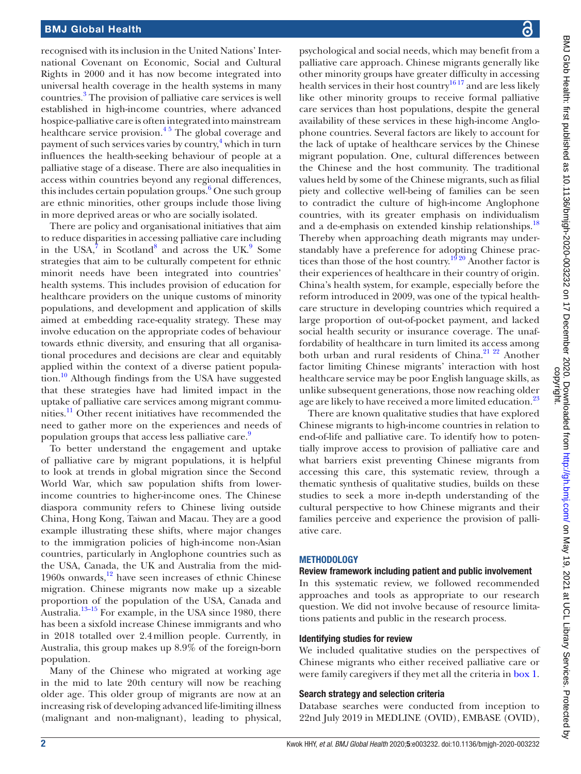recognised with its inclusion in the United Nations' International Covenant on Economic, Social and Cultural Rights in 2000 and it has now become integrated into universal health coverage in the health systems in many countries[.3](#page-12-1) The provision of palliative care services is well established in high-income countries, where advanced hospice-palliative care is often integrated into mainstream healthcare service provision.<sup>45</sup> The global coverage and payment of such services varies by country,<sup>[4](#page-12-2)</sup> which in turn influences the health-seeking behaviour of people at a palliative stage of a disease. There are also inequalities in access within countries beyond any regional differences, this includes certain population groups.<sup>6</sup> One such group are ethnic minorities, other groups include those living in more deprived areas or who are socially isolated.

There are policy and organisational initiatives that aim to reduce disparities in accessing palliative care including in the USA, $\frac{7}{7}$  $\frac{7}{7}$  $\frac{7}{7}$  in Scotland<sup>[8](#page-12-5)</sup> and across the UK.<sup>[9](#page-12-6)</sup> Some strategies that aim to be culturally competent for ethnic minorit needs have been integrated into countries' health systems. This includes provision of education for healthcare providers on the unique customs of minority populations, and development and application of skills aimed at embedding race-equality strategy. These may involve education on the appropriate codes of behaviour towards ethnic diversity, and ensuring that all organisational procedures and decisions are clear and equitably applied within the context of a diverse patient popula-tion.<sup>[10](#page-12-7)</sup> Although findings from the USA have suggested that these strategies have had limited impact in the uptake of palliative care services among migrant communities.<sup>11</sup> Other recent initiatives have recommended the need to gather more on the experiences and needs of population groups that access less palliative care.<sup>9</sup>

To better understand the engagement and uptake of palliative care by migrant populations, it is helpful to look at trends in global migration since the Second World War, which saw population shifts from lowerincome countries to higher-income ones. The Chinese diaspora community refers to Chinese living outside China, Hong Kong, Taiwan and Macau. They are a good example illustrating these shifts, where major changes to the immigration policies of high-income non-Asian countries, particularly in Anglophone countries such as the USA, Canada, the UK and Australia from the mid-1960s onwards, $12$  have seen increases of ethnic Chinese migration. Chinese migrants now make up a sizeable proportion of the population of the USA, Canada and Australia.<sup>13–15</sup> For example, in the USA since 1980, there has been a sixfold increase Chinese immigrants and who in 2018 totalled over 2.4million people. Currently, in Australia, this group makes up 8.9% of the foreign-born population.

Many of the Chinese who migrated at working age in the mid to late 20th century will now be reaching older age. This older group of migrants are now at an increasing risk of developing advanced life-limiting illness (malignant and non-malignant), leading to physical,

psychological and social needs, which may benefit from a palliative care approach. Chinese migrants generally like other minority groups have greater difficulty in accessing health services in their host country<sup>1617</sup> and are less likely like other minority groups to receive formal palliative care services than host populations, despite the general availability of these services in these high-income Anglophone countries. Several factors are likely to account for the lack of uptake of healthcare services by the Chinese migrant population. One, cultural differences between the Chinese and the host community. The traditional values held by some of the Chinese migrants, such as filial piety and collective well-being of families can be seen to contradict the culture of high-income Anglophone countries, with its greater emphasis on individualism and a de-emphasis on extended kinship relationships.<sup>18</sup> Thereby when approaching death migrants may understandably have a preference for adopting Chinese prac-tices than those of the host country.<sup>[19 20](#page-12-13)</sup> Another factor is their experiences of healthcare in their country of origin. China's health system, for example, especially before the reform introduced in 2009, was one of the typical healthcare structure in developing countries which required a large proportion of out-of-pocket payment, and lacked social health security or insurance coverage. The unaffordability of healthcare in turn limited its access among both urban and rural residents of China.<sup>21</sup> <sup>22</sup> Another factor limiting Chinese migrants' interaction with host healthcare service may be poor English language skills, as unlike subsequent generations, those now reaching older age are likely to have received a more limited education.<sup>[23](#page-12-15)</sup>

There are known qualitative studies that have explored Chinese migrants to high-income countries in relation to end-of-life and palliative care. To identify how to potentially improve access to provision of palliative care and what barriers exist preventing Chinese migrants from accessing this care, this systematic review, through a thematic synthesis of qualitative studies, builds on these studies to seek a more in-depth understanding of the cultural perspective to how Chinese migrants and their families perceive and experience the provision of palliative care.

### METHODOLOGY

### Review framework including patient and public involvement

In this systematic review, we followed recommended approaches and tools as appropriate to our research question. We did not involve because of resource limitations patients and public in the research process.

### Identifying studies for review

We included qualitative studies on the perspectives of Chinese migrants who either received palliative care or were family caregivers if they met all the criteria in [box](#page-2-0) 1.

### Search strategy and selection criteria

Database searches were conducted from inception to 22nd July 2019 in MEDLINE (OVID), EMBASE (OVID),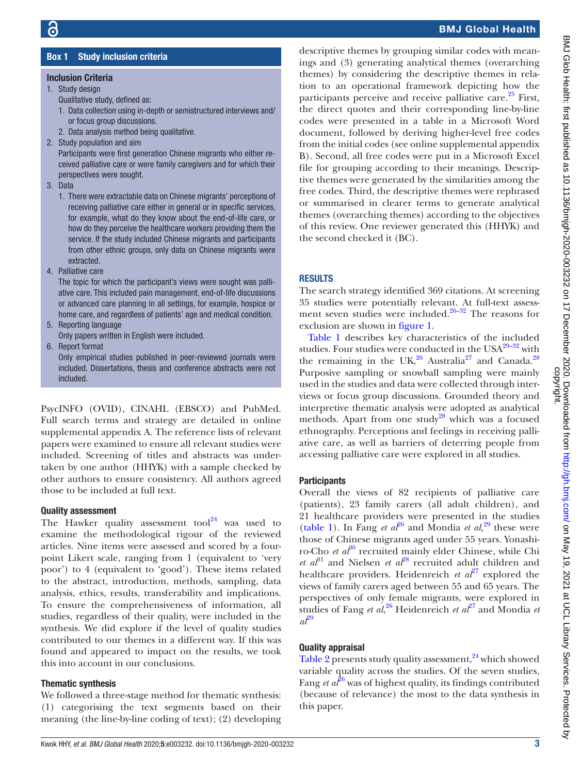# BMJ Glob Health: first published as 10.1136/bmjgh-2020-003232 on 17 December 2020. Downloaded from http://gh.bmj.com/ on May 19, 2021 at UCL Library Services. Protected by<br>copyright. BMJ Glob Health: tirst published as 10.1136/bmjgh-2020-003232 on 17 December 2020. Downloaded from bublished from/ bmj.com/ BMJ 9, 2021 at UCL Library Services. Protected by

### Box 1 Study inclusion criteria

### <span id="page-2-0"></span>Inclusion Criteria

- 1. Study design
	- Qualitative study, defined as:
	- 1. Data collection using in-depth or semistructured interviews and/ or focus group discussions.
	- 2. Data analysis method being qualitative.
- 2. Study population and aim

Participants were first generation Chinese migrants who either received palliative care or were family caregivers and for which their perspectives were sought.

3. Data

1. There were extractable data on Chinese migrants' perceptions of receiving palliative care either in general or in specific services, for example, what do they know about the end-of-life care, or how do they perceive the healthcare workers providing them the service. If the study included Chinese migrants and participants from other ethnic groups, only data on Chinese migrants were extracted.

4. Palliative care

The topic for which the participant's views were sought was palliative care. This included pain management, end-of-life discussions or advanced care planning in all settings, for example, hospice or home care, and regardless of patients' age and medical condition.

- 5. Reporting language Only papers written in English were included.
- 6. Report format

Only empirical studies published in peer-reviewed journals were included. Dissertations, thesis and conference abstracts were not included.

PsycINFO (OVID), CINAHL (EBSCO) and PubMed. Full search terms and strategy are detailed in [online](https://dx.doi.org/10.1136/bmjgh-2020-003232) [supplemental appendix A](https://dx.doi.org/10.1136/bmjgh-2020-003232). The reference lists of relevant papers were examined to ensure all relevant studies were included. Screening of titles and abstracts was undertaken by one author (HHYK) with a sample checked by other authors to ensure consistency. All authors agreed those to be included at full text.

### Quality assessment

The Hawker quality assessment tool $^{24}$  was used to examine the methodological rigour of the reviewed articles. Nine items were assessed and scored by a fourpoint Likert scale, ranging from 1 (equivalent to 'very poor') to 4 (equivalent to 'good'). These items related to the abstract, introduction, methods, sampling, data analysis, ethics, results, transferability and implications. To ensure the comprehensiveness of information, all studies, regardless of their quality, were included in the synthesis. We did explore if the level of quality studies contributed to our themes in a different way. If this was found and appeared to impact on the results, we took this into account in our conclusions.

### Thematic synthesis

We followed a three-stage method for thematic synthesis: (1) categorising the text segments based on their meaning (the line-by-line coding of text); (2) developing

descriptive themes by grouping similar codes with meanings and (3) generating analytical themes (overarching themes) by considering the descriptive themes in relation to an operational framework depicting how the participants perceive and receive palliative care.<sup>25</sup> First, the direct quotes and their corresponding line-by-line codes were presented in a table in a Microsoft Word document, followed by deriving higher-level free codes from the initial codes (see [online supplemental appendix](https://dx.doi.org/10.1136/bmjgh-2020-003232) [B](https://dx.doi.org/10.1136/bmjgh-2020-003232)). Second, all free codes were put in a Microsoft Excel file for grouping according to their meanings. Descriptive themes were generated by the similarities among the free codes. Third, the descriptive themes were rephrased or summarised in clearer terms to generate analytical themes (overarching themes) according to the objectives of this review. One reviewer generated this (HHYK) and the second checked it (BC).

### **RESULTS**

The search strategy identified 369 citations. At screening 35 studies were potentially relevant. At full-text assessment seven studies were included.<sup>26–32</sup> The reasons for exclusion are shown in [figure](#page-3-0) 1.

[Table](#page-4-0) 1 describes key characteristics of the included studies. Four studies were conducted in the  $USA^{29-32}$  with the remaining in the UK, $^{26}$  Australia<sup>27</sup> and Canada.<sup>28</sup> Purposive sampling or snowball sampling were mainly used in the studies and data were collected through interviews or focus group discussions. Grounded theory and interpretive thematic analysis were adopted as analytical methods. Apart from one study<sup>28</sup> which was a focused ethnography. Perceptions and feelings in receiving palliative care, as well as barriers of deterring people from accessing palliative care were explored in all studies.

### **Participants**

Overall the views of 82 recipients of palliative care (patients), 23 family carers (all adult children), and 21 healthcare providers were presented in the studies [\(table](#page-4-0) 1). In Fang *et al*<sup>26</sup> and Mondia *et al*,<sup>29</sup> these were those of Chinese migrants aged under 55 years. Yonashiro-Cho *et al*<sup>30</sup> recruited mainly elder Chinese, while Chi *et al*<sup>31</sup> and Nielsen *et al*<sup>28</sup> recruited adult children and healthcare providers. Heidenreich *et al*<sup>27</sup> explored the views of family carers aged between 55 and 65 years. The perspectives of only female migrants, were explored in studies of Fang *et al*,<sup>[26](#page-12-18)</sup> Heidenreich *et al*<sup>[27](#page-12-20)</sup> and Mondia *et*  $a^{\mathcal{P}^{\mathbf{9}}}$ 

### Quality appraisal

[Table](#page-6-0) 2 presents study quality assessment,<sup>24</sup> which showed variable quality across the studies. Of the seven studies, Fang *et*  $a\ell^{6}$  was of highest quality, its findings contributed (because of relevance) the most to the data synthesis in this paper.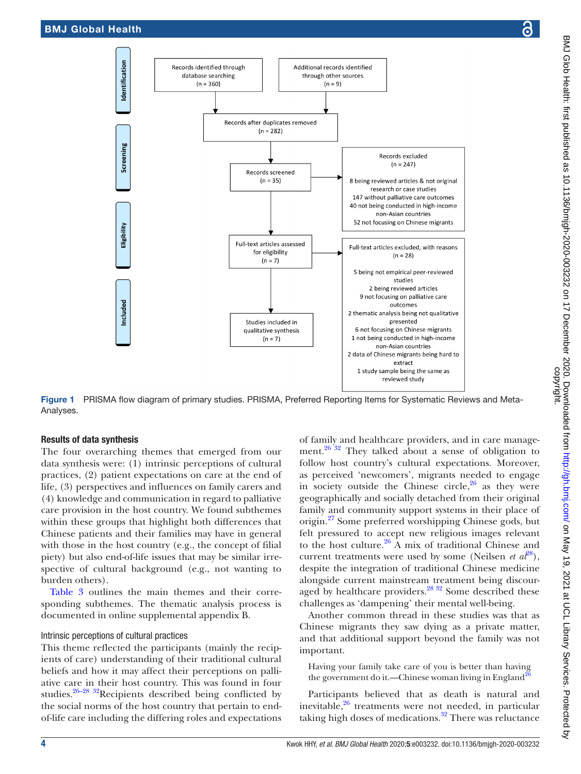

Figure 1 PRISMA flow diagram of primary studies. PRISMA, Preferred Reporting Items for Systematic Reviews and Meta-Analyses.

### Results of data synthesis

The four overarching themes that emerged from our data synthesis were: (1) intrinsic perceptions of cultural practices, (2) patient expectations on care at the end of life, (3) perspectives and influences on family carers and (4) knowledge and communication in regard to palliative care provision in the host country. We found subthemes within these groups that highlight both differences that Chinese patients and their families may have in general with those in the host country (e.g., the concept of filial piety) but also end-of-life issues that may be similar irrespective of cultural background (e.g., not wanting to burden others).

[Table](#page-8-0) 3 outlines the main themes and their corresponding subthemes. The thematic analysis process is documented in [online supplemental appendix B](https://dx.doi.org/10.1136/bmjgh-2020-003232).

### Intrinsic perceptions of cultural practices

This theme reflected the participants (mainly the recipients of care) understanding of their traditional cultural beliefs and how it may affect their perceptions on palliative care in their host country. This was found in four studies.[26–28 32](#page-12-18)Recipients described being conflicted by the social norms of the host country that pertain to endof-life care including the differing roles and expectations

<span id="page-3-0"></span>of family and healthcare providers, and in care management.[26 32](#page-12-18) They talked about a sense of obligation to follow host country's cultural expectations. Moreover, as perceived 'newcomers', migrants needed to engage in society outside the Chinese circle, $26$  as they were geographically and socially detached from their original family and community support systems in their place of origin[.27](#page-12-20) Some preferred worshipping Chinese gods, but felt pressured to accept new religious images relevant to the host culture. $26$  A mix of traditional Chinese and current treatments were used by some (Neilsen *et al*<sup>[28](#page-12-21)</sup>), despite the integration of traditional Chinese medicine alongside current mainstream treatment being discouraged by healthcare providers.<sup>28 32</sup> Some described these challenges as 'dampening' their mental well-being.

Another common thread in these studies was that as Chinese migrants they saw dying as a private matter, and that additional support beyond the family was not important.

Having your family take care of you is better than having the government do it.—Chinese woman living in England<sup>[26](#page-12-18)</sup>

Participants believed that as death is natural and inevitable, $26$  treatments were not needed, in particular taking high doses of medications. $32$  There was reluctance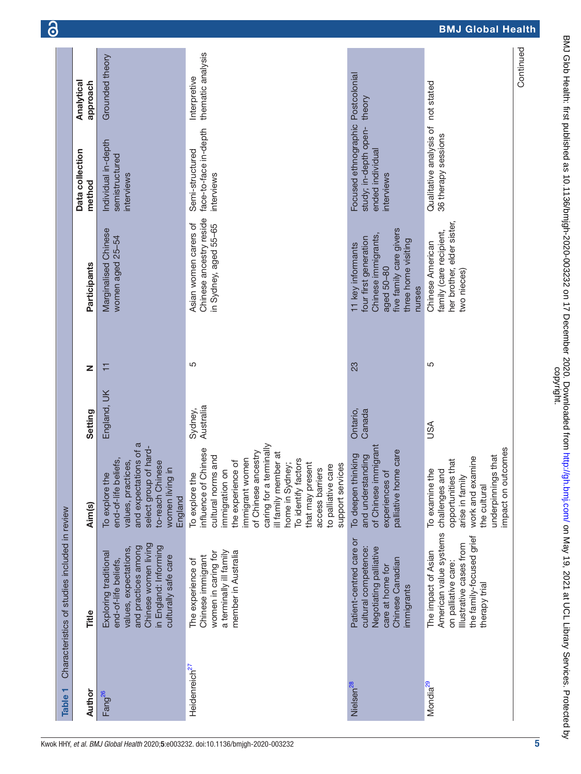<span id="page-4-0"></span>

| ۳<br><b>Table</b>         | Characteristics of studies included in review                                                                                                                          |                                                                                                                                                                                                                                                                                                                             |                      |    |                                                                                                                                            |                                                                                              |                                   |
|---------------------------|------------------------------------------------------------------------------------------------------------------------------------------------------------------------|-----------------------------------------------------------------------------------------------------------------------------------------------------------------------------------------------------------------------------------------------------------------------------------------------------------------------------|----------------------|----|--------------------------------------------------------------------------------------------------------------------------------------------|----------------------------------------------------------------------------------------------|-----------------------------------|
| Author                    | Title                                                                                                                                                                  | Aim(s)                                                                                                                                                                                                                                                                                                                      | Setting              | Z  | Participants                                                                                                                               | Data collection<br>method                                                                    | Analytical<br>approach            |
| Fang <sup>26</sup>        | Chinese women living<br>in England: Informing<br>and practices among<br>values, expectations,<br>Exploring traditional<br>culturally safe care<br>end-of-life beliefs, | and expectations of a<br>of hard-<br>end-of-life beliefs,<br>values, practices,<br>to-reach Chinese<br>$\equiv$<br>To explore the<br>women living<br>select group<br>England                                                                                                                                                | England, UK          | Ξ  | Marginalised Chinese<br>women aged 25-54                                                                                                   | Individual in-depth<br>semistructured<br>interviews                                          | Grounded theory                   |
| Heidenreich <sup>27</sup> | a terminally ill family<br>member in Australia<br>women in caring for<br>Chinese immigrant<br>The experience of                                                        | caring for a terminally<br>influence of Chinese<br>of Chinese ancestry<br>ill family member at<br>cultural norms and<br>immigrant women<br>To identify factors<br>the experience of<br>home in Sydney;<br>that may present<br>support services<br>to palliative care<br>access barriers<br>immigration on<br>To explore the | Australia<br>Sydney, | 5  | Chinese ancestry reside<br>Asian women carers of<br>in Sydney, aged 55-65                                                                  | face-to-face in-depth<br>Semi-structured<br>interviews                                       | thematic analysis<br>Interpretive |
| Nielsen <sup>28</sup>     | Patient-centred care or<br>cultural competence:<br>Negotiating palliative<br>Chinese Canadian<br>care at home for<br>immigrants                                        | of Chinese immigrant<br>palliative home care<br>To deepen thinking<br>and understanding<br>experiences of                                                                                                                                                                                                                   | Ontario,<br>Canada   | 23 | five family care givers<br>Chinese immigrants<br>four first generation<br>three home visiting<br>11 key informants<br>aged 50-80<br>nurses | Focused ethnographic Postcolonial<br>study; in-depth open-<br>ended individual<br>interviews | theory                            |
| Mondia <sup>29</sup>      | American value systems<br>the family-focused grief<br>Illustrative cases from<br>The impact of Asian<br>on palliative care:<br>therapy trial                           | impact on outcomes<br>underpinnings that<br>work and examine<br>opportunities that<br>challenges and<br>To examine the<br>arise in family<br>the cultural                                                                                                                                                                   | USA                  | Ю  | her brother, elder sister,<br>family (care recipient,<br>Chinese American<br>two nieces)                                                   | Qualitative analysis of not stated<br>36 therapy sessions                                    |                                   |
|                           |                                                                                                                                                                        |                                                                                                                                                                                                                                                                                                                             |                      |    |                                                                                                                                            |                                                                                              | Continued                         |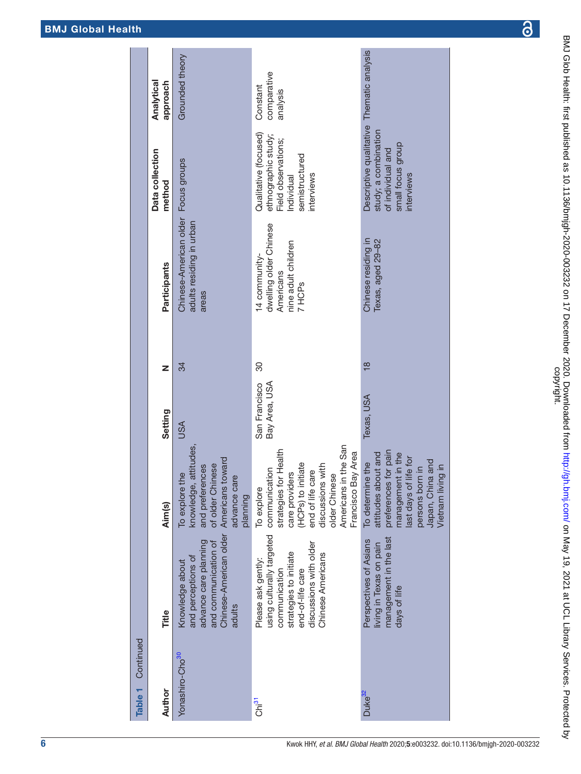|--|

| Continued<br>Table 1        |                                                                                                                                                               |                                                                                                                                                                                                                        |                                |               |                                                                                       |                                                                                                                           |                                     |
|-----------------------------|---------------------------------------------------------------------------------------------------------------------------------------------------------------|------------------------------------------------------------------------------------------------------------------------------------------------------------------------------------------------------------------------|--------------------------------|---------------|---------------------------------------------------------------------------------------|---------------------------------------------------------------------------------------------------------------------------|-------------------------------------|
| Author                      | Title                                                                                                                                                         | Aim(s)                                                                                                                                                                                                                 | Setting                        | Z             | Participants                                                                          | Data collection<br>method                                                                                                 | Analytical<br>approach              |
| Yonashiro-Cho <sup>30</sup> | Chinese-American older<br>advance care planning<br>and communication of<br>and perceptions of<br>Knowledge about<br>adults                                    | knowledge, attitudes,<br>Americans toward<br>and preferences<br>of older Chinese<br>To explore the<br>advance care<br>planning                                                                                         | <b>USA</b>                     | 34            | Chinese-American older Focus groups<br>adults residing in urban<br>areas              |                                                                                                                           | Grounded theory                     |
| Chi <sup>31</sup>           | using culturally targeted<br>discussions with older<br>strategies to initiate<br>Chinese Americans<br>Please ask gently:<br>communication<br>end-of-life care | Americans in the San<br>for Health<br>Bay Area<br>(HCPs) to initiate<br>discussions with<br>communication<br>end of life care<br>care providers<br>older Chinese<br>To explore<br>strategies <sup>+</sup><br>Francisco | Bay Area, USA<br>San Francisco | 30            | dwelling older Chinese<br>nine adult children<br>14 community-<br>Americans<br>7 HCPs | Qualitative (focused)<br>ethnographic study;<br>Field observations;<br>semistructured<br>interviews<br>Individual         | comparative<br>Constant<br>analysis |
| Duke <sup>32</sup>          | management in the last<br>Perspectives of Asians<br>living in Texas on pain<br>days of life                                                                   | preferences for pain<br>attitudes about and<br>management in the<br>last days of life for<br>Japan, China and<br>To determine the<br>Vietnam living in<br>persons born in                                              | Texas, USA                     | $\frac{8}{1}$ | Chinese residing in<br>Texas, aged 29-82                                              | Descriptive qualitative Thematic analysis<br>study; a combination<br>small focus group<br>of individual and<br>interviews |                                     |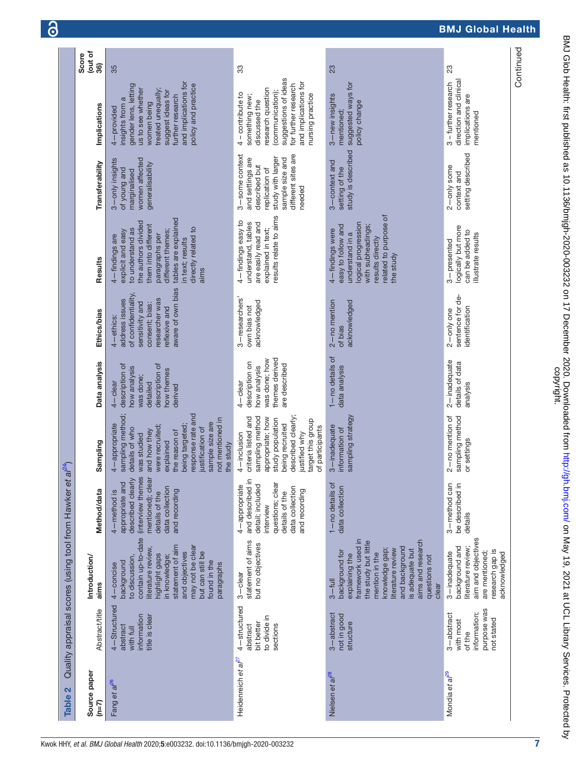|                                 |                                                                                |                                                                                                                                                                                                                                          |                                                                                                                                                     | $\sqrt{24}$                                                                                                                                                                                                                                         |                                                                                                                   |                                                                                                                                                 |                                                                                                                                                                                                                         |                                                                                                                                                |                                                                                                                                                                                                         |                         |
|---------------------------------|--------------------------------------------------------------------------------|------------------------------------------------------------------------------------------------------------------------------------------------------------------------------------------------------------------------------------------|-----------------------------------------------------------------------------------------------------------------------------------------------------|-----------------------------------------------------------------------------------------------------------------------------------------------------------------------------------------------------------------------------------------------------|-------------------------------------------------------------------------------------------------------------------|-------------------------------------------------------------------------------------------------------------------------------------------------|-------------------------------------------------------------------------------------------------------------------------------------------------------------------------------------------------------------------------|------------------------------------------------------------------------------------------------------------------------------------------------|---------------------------------------------------------------------------------------------------------------------------------------------------------------------------------------------------------|-------------------------|
| $\mathbf{a}$<br><b>Table</b>    |                                                                                | Quality appraisal scores (using tool from Hawker et                                                                                                                                                                                      | $\omega$                                                                                                                                            |                                                                                                                                                                                                                                                     |                                                                                                                   |                                                                                                                                                 |                                                                                                                                                                                                                         |                                                                                                                                                |                                                                                                                                                                                                         |                         |
| Source paper<br>$(n=7)$         | <b>Abstract/title</b>                                                          | Introduction/<br>aims                                                                                                                                                                                                                    | Method/data                                                                                                                                         | Sampling                                                                                                                                                                                                                                            | Data analysis                                                                                                     | Ethics/bias                                                                                                                                     | Results                                                                                                                                                                                                                 | Transferability                                                                                                                                | Implications                                                                                                                                                                                            | (out of<br>Score<br>36) |
| Fang et al <sup>26</sup>        | 4-Structured<br>title is clear<br>information<br>abstract<br>with full         | contain up-to-date<br>statement of aim<br>may not be clear<br>literature review,<br>and objectives<br>but can still be<br>highlight gaps<br>in knowledge;<br>to discussion,<br>found in the<br>background<br>paragraphs<br>$4$ – concise | (interview themes<br>mentioned); clear<br>described clearly<br>appropriate and<br>data collection<br>and recording<br>4-method is<br>details of the | sampling method;<br>response rate and<br>not mentioned in<br>sample size are<br>4-appropriate<br>being targeted;<br>were recruited;<br>details of who<br>justification of<br>and how they<br>the reason of<br>was studied<br>explained<br>the study | description of<br>description of<br>how analysis<br>how themes<br>was done;<br>$4 -$ clear<br>detailed<br>derived | aware of own bias<br>of confidentiality,<br>researcher was<br>address issues<br>sensitivity and<br>consent; bias:<br>reflexive and<br>4-ethics: | tables are explained<br>the authors divided<br>them into different<br>directly related to<br>to understand as<br>different themes;<br>explicit and easy<br>paragraphs per<br>4-findings are<br>in text; results<br>aims | women affected<br>3-only insights<br>generalisability<br>of young and<br>marginalised                                                          | and implications for<br>policy and practice<br>gender lens, letting<br>treated unequally;<br>us to see whether<br>suggest ideas for<br>further research<br>insights from a<br>women being<br>4-provided | 35                      |
| Heidenreich et al <sup>27</sup> | 4-structured<br>to divide in<br>bit better<br>abstract<br>sections             | statement of aims<br>but no objectives<br>$3 -$ clear                                                                                                                                                                                    | and described in<br>questions; clear<br>detail; included<br>4-appropriate<br>data collection<br>and recording<br>details of the<br>interview        | sampling method<br>criteria listed and<br>described clearly<br>appropriate; how<br>study population<br>target this group<br>being recruited<br>of participants<br>justified why<br>4-inclusion                                                      | themes derived<br>was done; how<br>description on<br>are described<br>how analysis<br>-clear                      | 3-researchers'<br>acknowledged<br>own bias not                                                                                                  | results relate to aims<br>4-findings easy to<br>are easily read and<br>understand, tables<br>explained in text;                                                                                                         | different sites are<br>3-some context<br>study with larger<br>and settings are<br>sample size and<br>described but<br>replication of<br>needed | suggestions of ideas<br>and implications for<br>for further research<br>research question<br>(communication);<br>- contribute to<br>nursing practice<br>something new;<br>discussed the<br>4            | 33                      |
| Nielsen et al <sup>28</sup>     | 3-abstract<br>not in good<br>structure                                         | framework used in<br>aims and research<br>the study but little<br>and background<br>knowledge gap;<br>literature review<br>is adequate but<br>background for<br>mention in the<br>explaining the<br>questions not<br>$3 -$ full<br>clear | 1-no details of<br>data collection                                                                                                                  | sampling strategy<br>$3$ -inadequate<br>information of                                                                                                                                                                                              | 1-no details of<br>data analysis                                                                                  | $2 - no$ mention<br>acknowledged<br>of bias                                                                                                     | related to purpose of<br>logical progression<br>easy to follow and<br>with subheadings;<br>4-findings were<br>understand in a<br>results directly<br>the study                                                          | study is described<br>3-context and<br>setting of the                                                                                          | suggested ways for<br>3-new insights<br>policy change<br>mentioned;                                                                                                                                     | 23                      |
| Mondia et al <sup>29</sup>      | purpose was<br>3-abstract<br>information;<br>not stated<br>with most<br>of the | aim and objectives<br>background and<br>iterature review;<br>research gap is<br>are mentioned;<br>acknowledged<br>$3$ -inadequate                                                                                                        | 3-method can<br>be described in<br>details                                                                                                          | $2$ – no mention of<br>sampling method<br>or settings                                                                                                                                                                                               | $2$ $-$ inadequate<br>details of data<br>analysis                                                                 | sentence for de-<br>identification<br>2-only one                                                                                                | logically but more<br>can be added to<br>illustrate results<br>3-presented                                                                                                                                              | setting described<br>2-only some<br>context and                                                                                                | direction and clinical<br>3-further research<br>implications are<br>mentioned                                                                                                                           | 23                      |
|                                 |                                                                                |                                                                                                                                                                                                                                          |                                                                                                                                                     |                                                                                                                                                                                                                                                     |                                                                                                                   |                                                                                                                                                 |                                                                                                                                                                                                                         |                                                                                                                                                |                                                                                                                                                                                                         | Continued               |

<span id="page-6-0"></span>7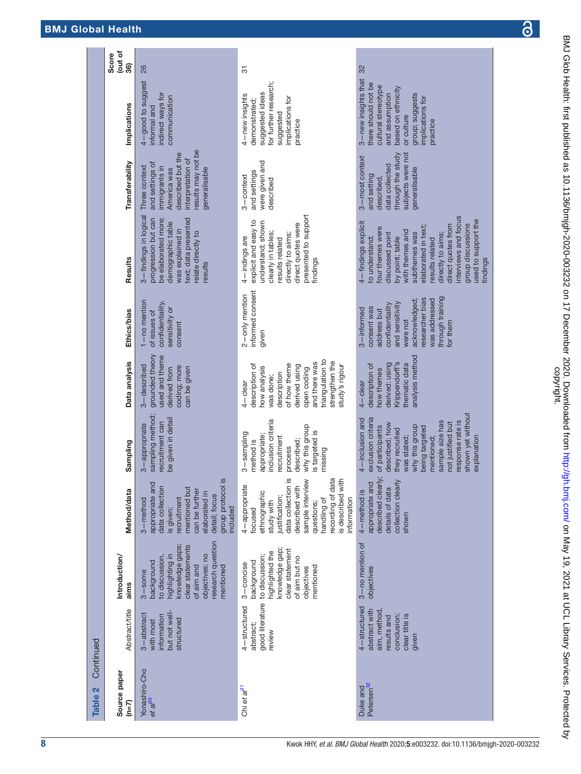| Continued<br>$\mathbf{\Omega}$<br><b>Table</b> |                                                                                                       |                                                                                                                                                                        |                                                                                                                                                                                                                                          |                                                                                                                                                                                                                                                               |                                                                                                                                                                                                   |                                                                                                                                                                                 |                                                                                                                                                                                                                                                                                                          |                                                                                                                                                   |                                                                                                                                                                            |                        |
|------------------------------------------------|-------------------------------------------------------------------------------------------------------|------------------------------------------------------------------------------------------------------------------------------------------------------------------------|------------------------------------------------------------------------------------------------------------------------------------------------------------------------------------------------------------------------------------------|---------------------------------------------------------------------------------------------------------------------------------------------------------------------------------------------------------------------------------------------------------------|---------------------------------------------------------------------------------------------------------------------------------------------------------------------------------------------------|---------------------------------------------------------------------------------------------------------------------------------------------------------------------------------|----------------------------------------------------------------------------------------------------------------------------------------------------------------------------------------------------------------------------------------------------------------------------------------------------------|---------------------------------------------------------------------------------------------------------------------------------------------------|----------------------------------------------------------------------------------------------------------------------------------------------------------------------------|------------------------|
| Source paper<br>$(n=7)$                        | <b>Abstract/title</b>                                                                                 | Introduction/<br>aims                                                                                                                                                  | Method/data                                                                                                                                                                                                                              | Sampling                                                                                                                                                                                                                                                      | Data analysis                                                                                                                                                                                     | Ethics/bias                                                                                                                                                                     | Results                                                                                                                                                                                                                                                                                                  | Transferability                                                                                                                                   | Implications                                                                                                                                                               | out of<br>Score<br>36) |
| Yonashiro-Cho<br>et al <sup>30</sup>           | but not well-<br>3-abstract<br>information<br>structured<br>with most                                 | research question<br>knowledge gaps;<br>clear statements<br>objectives; no<br>highlighting in<br>to discussion.<br>background<br>of aim and<br>mentioned<br>$3 -$ some | $\overline{\mathbf{S}}$<br>ರ<br>data collection<br>group protocol<br>appropriate an<br>mentioned but<br>can be further<br>elaborated in<br>detail; focus<br>recruitment<br>3-method<br>included<br>is given;                             | sampling method;<br>be given in detail<br>recruitment can<br>3-appropriate                                                                                                                                                                                    | grounded theory<br>used and theme<br>3-described<br>coding; more<br>can be given<br>derived from                                                                                                  | 1-no mention<br>confidentiality,<br>sensitivity or<br>of issues of<br>consent                                                                                                   | 3-findings in logical<br>progression but can<br>text; data presented<br>be elaborated more;<br>demographic table<br>was explained in<br>relate directly to<br>results                                                                                                                                    | results may not be<br>described but the<br>interpretation of<br>and settings of<br>Three context<br>immigrants in<br>generalisable<br>America was | 4-good to suggest<br>indirect ways for<br>communication<br>informal and                                                                                                    | 26                     |
| Chi et al <sup>31</sup>                        | good literature<br>4-structured<br>abstract;<br>review                                                | knowledge gap;<br>clear statement<br>highlighted the<br>to discussion;<br>of aim but no<br>background<br>$3$ – concise<br>mentioned<br>objectives                      | recording of data<br>$\overline{5}$<br>is described with<br>sample interview<br>4-appropriate<br>data collection<br>described with<br>ethnographic<br>justification;<br>nformation<br>handling of<br>study with<br>questions;<br>focused | inclusion criteria<br>why this group<br>is targeted is<br>3-sampling<br>appropriate;<br>recruitment<br>described;<br>method is<br>process<br>missing                                                                                                          | triangulation to<br>strengthen the<br>and there was<br>of how theme<br>description of<br>study's rigour<br>derived using<br>now analysis<br>open coding<br>description<br>was done;<br>$4$ -clear | informed consent<br>2-only mention<br>given                                                                                                                                     | presented to support<br>explicit and easy to<br>understand; shown<br>direct quotes were<br>clearly in tables;<br>directly to aims;<br>4-indings are<br>results related<br>findings                                                                                                                       | were given and<br>and settings<br>3-context<br>described                                                                                          | for further research;<br>suggested ideas<br>4-new insights<br>implications for<br>demonstrated;<br>suggested<br>practice                                                   | 5                      |
| Petersen <sup>32</sup><br>Duke and             | 4-structured<br>abstract with<br>aim, method<br>clear title is<br>results and<br>conclusion;<br>given | 3-no mention of<br>objectives                                                                                                                                          | described clearly;<br>collection clearly<br>appropriate and<br>details of data<br>4-method is<br>shown                                                                                                                                   | shown yet without<br>exclusion criteria<br>4-inclusion and<br>response rate is<br>sample size has<br>not justified but<br>described; how<br>of participants<br>why this group<br>being targeted<br>they recruited<br>was stated;<br>mentioned;<br>explanation | analysis method<br>Krippendorff's<br>thematic data<br>derived: using<br>description of<br>how themes<br>$4$ -clear                                                                                | through training<br>researcher bias<br>acknowledged;<br>was addressed<br>and sensitivity<br>confidentiality<br>consent was<br>3-informed<br>address but<br>were not<br>for them | interviews and focus<br>used to support the<br>4-findings explicit<br>group discussions<br>direct quotes from<br>elaborated in text;<br>four themes were<br>with themes and<br>subthemes was<br>discussed point<br>directly to aims;<br>to understand;<br>by point; table<br>results related<br>findings | subjects were not<br>through the study<br>3-most context<br>data collected<br>generalisable<br>and setting<br>described,                          | 3-new insights that<br>there should not be<br>cultural stereotype<br>based on ethnicity<br>and assumption<br>group; suggests<br>implications for<br>or culture<br>practice | 32                     |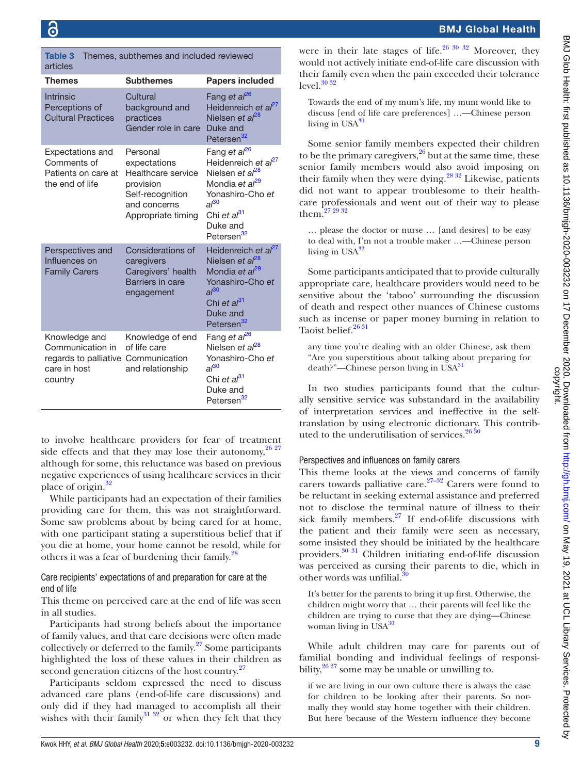<span id="page-8-0"></span>Table 3 Themes, subthemes and included reviewed articles

| <b>Subthemes</b>                                                                                                      | <b>Papers included</b>                                                                                                                                                                                                     |
|-----------------------------------------------------------------------------------------------------------------------|----------------------------------------------------------------------------------------------------------------------------------------------------------------------------------------------------------------------------|
| Cultural<br>background and<br>practices<br>Gender role in care                                                        | Fang et al <sup>26</sup><br>Heidenreich et al <sup>27</sup><br>Nielsen et al <sup>28</sup><br>Duke and<br>Petersen <sup>32</sup>                                                                                           |
| Personal<br>expectations<br>Healthcare service<br>provision<br>Self-recognition<br>and concerns<br>Appropriate timing | Fang et al <sup>26</sup><br>Heidenreich et al <sup>27</sup><br>Nielsen et al <sup>28</sup><br>Mondia et al <sup>29</sup><br>Yonashiro-Cho et<br>$al^{30}$<br>Chi et al <sup>31</sup><br>Duke and<br>Petersen <sup>32</sup> |
| Considerations of<br>caregivers<br>Caregivers' health<br>Barriers in care<br>engagement                               | Heidenreich et al <sup>27</sup><br>Nielsen et al <sup>28</sup><br>Mondia et al <sup>29</sup><br>Yonashiro-Cho et<br>$al^{30}$<br>Chi et al <sup>31</sup><br>Duke and<br>Petersen <sup>32</sup>                             |
| Knowledge of end<br>of life care<br>regards to palliative Communication<br>and relationship                           | Fang et al <sup>26</sup><br>Nielsen et al <sup>28</sup><br>Yonashiro-Cho et<br>$al^{30}$<br>Chi et al <sup>31</sup><br>Duke and<br>Petersen <sup>32</sup>                                                                  |
|                                                                                                                       |                                                                                                                                                                                                                            |

to involve healthcare providers for fear of treatment side effects and that they may lose their autonomy,  $26\frac{27}{27}$ although for some, this reluctance was based on previous negative experiences of using healthcare services in their place of origin.<sup>[32](#page-12-24)</sup>

While participants had an expectation of their families providing care for them, this was not straightforward. Some saw problems about by being cared for at home, with one participant stating a superstitious belief that if you die at home, your home cannot be resold, while for others it was a fear of burdening their family.<sup>[28](#page-12-21)</sup>

### Care recipients' expectations of and preparation for care at the end of life

This theme on perceived care at the end of life was seen in all studies.

Participants had strong beliefs about the importance of family values, and that care decisions were often made collectively or deferred to the family.<sup>27</sup> Some participants highlighted the loss of these values in their children as second generation citizens of the host country.<sup>[27](#page-12-20)</sup>

Participants seldom expressed the need to discuss advanced care plans (end-of-life care discussions) and only did if they had managed to accomplish all their wishes with their family<sup>[31 32](#page-12-23)</sup> or when they felt that they

### BMJ Global Health

were in their late stages of life.<sup>26 30 32</sup> Moreover, they would not actively initiate end-of-life care discussion with their family even when the pain exceeded their tolerance level. $30\frac{32}{2}$ 

Towards the end of my mum's life, my mum would like to discuss [end of life care preferences] …—Chinese person living in  $USA^{30}$  $USA^{30}$  $USA^{30}$ 

Some senior family members expected their children to be the primary caregivers, $26$  but at the same time, these senior family members would also avoid imposing on their family when they were dying.<sup>[28 32](#page-12-21)</sup> Likewise, patients did not want to appear troublesome to their healthcare professionals and went out of their way to please them[.27 29 32](#page-12-20)

… please the doctor or nurse … [and desires] to be easy to deal with, I'm not a trouble maker …—Chinese person living in  $USA^{32}$  $USA^{32}$  $USA^{32}$ 

Some participants anticipated that to provide culturally appropriate care, healthcare providers would need to be sensitive about the 'taboo' surrounding the discussion of death and respect other nuances of Chinese customs such as incense or paper money burning in relation to Taoist belief.<sup>26 31</sup>

any time you're dealing with an older Chinese, ask them "Are you superstitious about talking about preparing for  $death$ ?"—Chinese person living in USA $31$ 

In two studies participants found that the culturally sensitive service was substandard in the availability of interpretation services and ineffective in the selftranslation by using electronic dictionary. This contributed to the underutilisation of services.  $2630$ 

### Perspectives and influences on family carers

This theme looks at the views and concerns of family carers towards palliative care.<sup>27–32</sup> Carers were found to be reluctant in seeking external assistance and preferred not to disclose the terminal nature of illness to their sick family members. $27$  If end-of-life discussions with the patient and their family were seen as necessary, some insisted they should be initiated by the healthcare providers.[30 31](#page-12-22) Children initiating end-of-life discussion was perceived as cursing their parents to die, which in other words was unfilial.

It's better for the parents to bring it up first. Otherwise, the children might worry that … their parents will feel like the children are trying to curse that they are dying—Chinese woman living in  $USA^{30}$ 

While adult children may care for parents out of familial bonding and individual feelings of responsibility,  $26\frac{27}{7}$  some may be unable or unwilling to.

if we are living in our own culture there is always the case for children to be looking after their parents. So normally they would stay home together with their children. But here because of the Western influence they become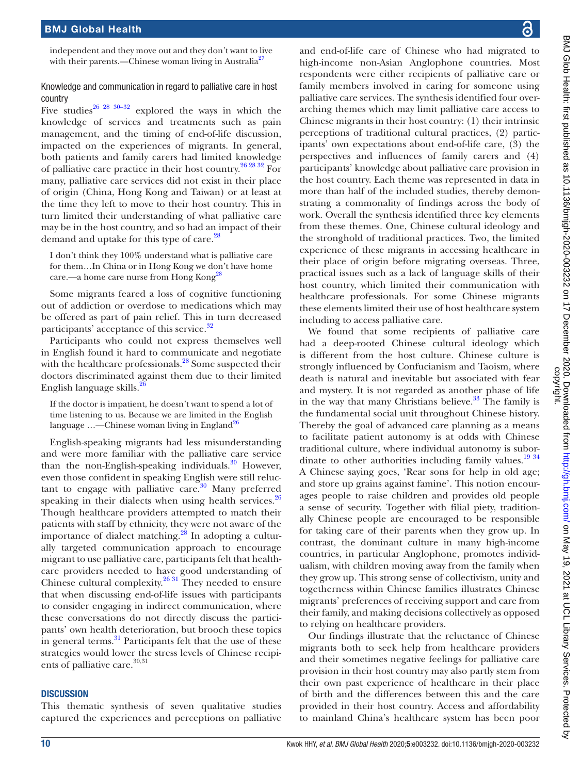independent and they move out and they don't want to live with their parents.—Chinese woman living in Australia<sup>27</sup>

### Knowledge and communication in regard to palliative care in host country

Five studies<sup>26 28 30–32</sup> explored the ways in which the knowledge of services and treatments such as pain management, and the timing of end-of-life discussion, impacted on the experiences of migrants. In general, both patients and family carers had limited knowledge of palliative care practice in their host country[.26 28 32](#page-12-18) For many, palliative care services did not exist in their place of origin (China, Hong Kong and Taiwan) or at least at the time they left to move to their host country. This in turn limited their understanding of what palliative care may be in the host country, and so had an impact of their demand and uptake for this type of care.<sup>28</sup>

I don't think they 100% understand what is palliative care for them…In China or in Hong Kong we don't have home care.—a home care nurse from Hong Kong<sup>20</sup>

Some migrants feared a loss of cognitive functioning out of addiction or overdose to medications which may be offered as part of pain relief. This in turn decreased participants' acceptance of this service.<sup>[32](#page-12-24)</sup>

Participants who could not express themselves well in English found it hard to communicate and negotiate with the healthcare professionals.<sup>28</sup> Some suspected their doctors discriminated against them due to their limited English language skills.<sup>2</sup>

If the doctor is impatient, he doesn't want to spend a lot of time listening to us. Because we are limited in the English language ...—Chinese woman living in England<sup>[26](#page-12-18)</sup>

English-speaking migrants had less misunderstanding and were more familiar with the palliative care service than the non-English-speaking individuals. $30$  However, even those confident in speaking English were still reluctant to engage with palliative care.<sup>30</sup> Many preferred speaking in their dialects when using health services. $26$ Though healthcare providers attempted to match their patients with staff by ethnicity, they were not aware of the importance of dialect matching.<sup>28</sup> In adopting a culturally targeted communication approach to encourage migrant to use palliative care, participants felt that healthcare providers needed to have good understanding of Chinese cultural complexity.<sup>26 31</sup> They needed to ensure that when discussing end-of-life issues with participants to consider engaging in indirect communication, where these conversations do not directly discuss the participants' own health deterioration, but brooch these topics in general terms.<sup>31</sup> Participants felt that the use of these strategies would lower the stress levels of Chinese recipients of palliative care.<sup>30,31</sup>

### **DISCUSSION**

This thematic synthesis of seven qualitative studies captured the experiences and perceptions on palliative

and end-of-life care of Chinese who had migrated to high-income non-Asian Anglophone countries. Most respondents were either recipients of palliative care or family members involved in caring for someone using palliative care services. The synthesis identified four overarching themes which may limit palliative care access to Chinese migrants in their host country: (1) their intrinsic perceptions of traditional cultural practices, (2) participants' own expectations about end-of-life care, (3) the perspectives and influences of family carers and (4) participants' knowledge about palliative care provision in the host country. Each theme was represented in data in more than half of the included studies, thereby demonstrating a commonality of findings across the body of work. Overall the synthesis identified three key elements from these themes. One, Chinese cultural ideology and the stronghold of traditional practices. Two, the limited experience of these migrants in accessing healthcare in their place of origin before migrating overseas. Three, practical issues such as a lack of language skills of their host country, which limited their communication with healthcare professionals. For some Chinese migrants these elements limited their use of host healthcare system including to access palliative care.

We found that some recipients of palliative care had a deep-rooted Chinese cultural ideology which is different from the host culture. Chinese culture is strongly influenced by Confucianism and Taoism, where death is natural and inevitable but associated with fear and mystery. It is not regarded as another phase of life in the way that many Christians believe.<sup>33</sup> The family is the fundamental social unit throughout Chinese history. Thereby the goal of advanced care planning as a means to facilitate patient autonomy is at odds with Chinese traditional culture, where individual autonomy is subor-dinate to other authorities including family values.<sup>[19 34](#page-12-13)</sup> A Chinese saying goes, 'Rear sons for help in old age; and store up grains against famine'. This notion encourages people to raise children and provides old people a sense of security. Together with filial piety, traditionally Chinese people are encouraged to be responsible for taking care of their parents when they grow up. In contrast, the dominant culture in many high-income countries, in particular Anglophone, promotes individualism, with children moving away from the family when they grow up. This strong sense of collectivism, unity and togetherness within Chinese families illustrates Chinese migrants' preferences of receiving support and care from their family, and making decisions collectively as opposed to relying on healthcare providers.

Our findings illustrate that the reluctance of Chinese migrants both to seek help from healthcare providers and their sometimes negative feelings for palliative care provision in their host country may also partly stem from their own past experience of healthcare in their place of birth and the differences between this and the care provided in their host country. Access and affordability to mainland China's healthcare system has been poor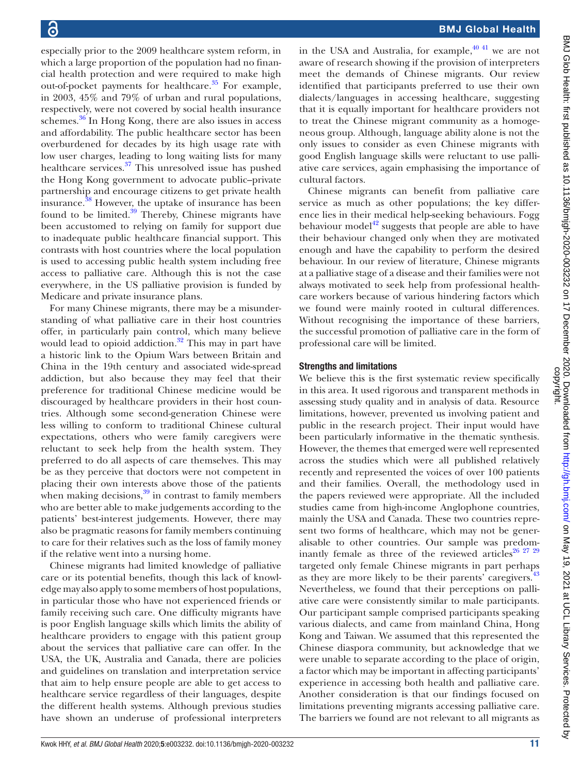especially prior to the 2009 healthcare system reform, in which a large proportion of the population had no financial health protection and were required to make high out-of-pocket payments for healthcare.<sup>35</sup> For example, in 2003, 45% and 79% of urban and rural populations, respectively, were not covered by social health insurance schemes.<sup>36</sup> In Hong Kong, there are also issues in access and affordability. The public healthcare sector has been overburdened for decades by its high usage rate with low user charges, leading to long waiting lists for many healthcare services.<sup>37</sup> This unresolved issue has pushed the Hong Kong government to advocate public–private partnership and encourage citizens to get private health insurance.[38](#page-12-29) However, the uptake of insurance has been found to be limited. $39$  Thereby, Chinese migrants have been accustomed to relying on family for support due to inadequate public healthcare financial support. This contrasts with host countries where the local population is used to accessing public health system including free access to palliative care. Although this is not the case everywhere, in the US palliative provision is funded by Medicare and private insurance plans.

For many Chinese migrants, there may be a misunderstanding of what palliative care in their host countries offer, in particularly pain control, which many believe would lead to opioid addiction. $32$  This may in part have a historic link to the Opium Wars between Britain and China in the 19th century and associated wide-spread addiction, but also because they may feel that their preference for traditional Chinese medicine would be discouraged by healthcare providers in their host countries. Although some second-generation Chinese were less willing to conform to traditional Chinese cultural expectations, others who were family caregivers were reluctant to seek help from the health system. They preferred to do all aspects of care themselves. This may be as they perceive that doctors were not competent in placing their own interests above those of the patients when making decisions, $39$  in contrast to family members who are better able to make judgements according to the patients' best-interest judgements. However, there may also be pragmatic reasons for family members continuing to care for their relatives such as the loss of family money if the relative went into a nursing home.

Chinese migrants had limited knowledge of palliative care or its potential benefits, though this lack of knowledge may also apply to some members of host populations, in particular those who have not experienced friends or family receiving such care. One difficulty migrants have is poor English language skills which limits the ability of healthcare providers to engage with this patient group about the services that palliative care can offer. In the USA, the UK, Australia and Canada, there are policies and guidelines on translation and interpretation service that aim to help ensure people are able to get access to healthcare service regardless of their languages, despite the different health systems. Although previous studies have shown an underuse of professional interpreters

in the USA and Australia, for example,  $40\frac{40\frac{41}{1}}{100}$  we are not aware of research showing if the provision of interpreters meet the demands of Chinese migrants. Our review identified that participants preferred to use their own dialects/languages in accessing healthcare, suggesting that it is equally important for healthcare providers not to treat the Chinese migrant community as a homogeneous group. Although, language ability alone is not the only issues to consider as even Chinese migrants with good English language skills were reluctant to use palliative care services, again emphasising the importance of cultural factors.

Chinese migrants can benefit from palliative care service as much as other populations; the key difference lies in their medical help-seeking behaviours. Fogg behaviour model $^{42}$  $^{42}$  $^{42}$  suggests that people are able to have their behaviour changed only when they are motivated enough and have the capability to perform the desired behaviour. In our review of literature, Chinese migrants at a palliative stage of a disease and their families were not always motivated to seek help from professional healthcare workers because of various hindering factors which we found were mainly rooted in cultural differences. Without recognising the importance of these barriers, the successful promotion of palliative care in the form of professional care will be limited.

### Strengths and limitations

We believe this is the first systematic review specifically in this area. It used rigorous and transparent methods in assessing study quality and in analysis of data. Resource limitations, however, prevented us involving patient and public in the research project. Their input would have been particularly informative in the thematic synthesis. However, the themes that emerged were well represented across the studies which were all published relatively recently and represented the voices of over 100 patients and their families. Overall, the methodology used in the papers reviewed were appropriate. All the included studies came from high-income Anglophone countries, mainly the USA and Canada. These two countries represent two forms of healthcare, which may not be generalisable to other countries. Our sample was predom-inantly female as three of the reviewed articles<sup>[26 27 29](#page-12-18)</sup> targeted only female Chinese migrants in part perhaps as they are more likely to be their parents' caregivers.<sup>43</sup> Nevertheless, we found that their perceptions on palliative care were consistently similar to male participants. Our participant sample comprised participants speaking various dialects, and came from mainland China, Hong Kong and Taiwan. We assumed that this represented the Chinese diaspora community, but acknowledge that we were unable to separate according to the place of origin, a factor which may be important in affecting participants' experience in accessing both health and palliative care. Another consideration is that our findings focused on limitations preventing migrants accessing palliative care. The barriers we found are not relevant to all migrants as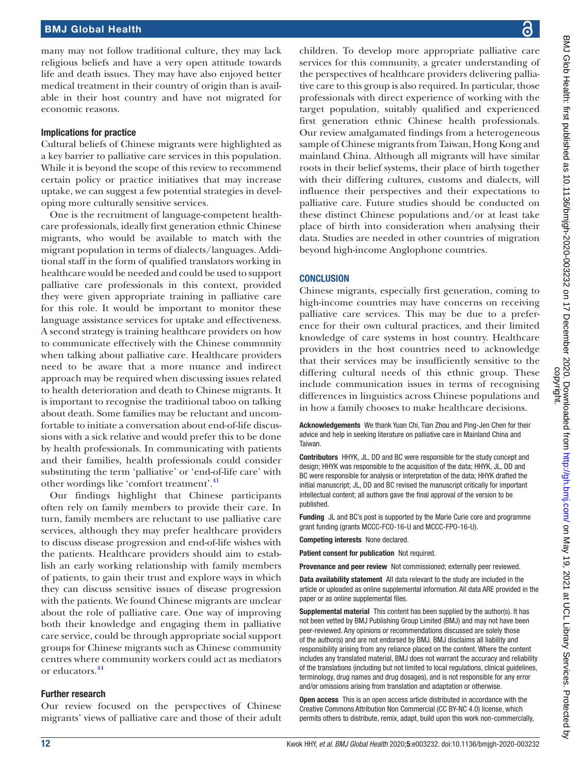### BMJ Global Health

many may not follow traditional culture, they may lack religious beliefs and have a very open attitude towards life and death issues. They may have also enjoyed better medical treatment in their country of origin than is available in their host country and have not migrated for economic reasons.

### Implications for practice

Cultural beliefs of Chinese migrants were highlighted as a key barrier to palliative care services in this population. While it is beyond the scope of this review to recommend certain policy or practice initiatives that may increase uptake, we can suggest a few potential strategies in developing more culturally sensitive services.

One is the recruitment of language-competent healthcare professionals, ideally first generation ethnic Chinese migrants, who would be available to match with the migrant population in terms of dialects/languages. Additional staff in the form of qualified translators working in healthcare would be needed and could be used to support palliative care professionals in this context, provided they were given appropriate training in palliative care for this role. It would be important to monitor these language assistance services for uptake and effectiveness. A second strategy is training healthcare providers on how to communicate effectively with the Chinese community when talking about palliative care. Healthcare providers need to be aware that a more nuance and indirect approach may be required when discussing issues related to health deterioration and death to Chinese migrants. It is important to recognise the traditional taboo on talking about death. Some families may be reluctant and uncomfortable to initiate a conversation about end-of-life discussions with a sick relative and would prefer this to be done by health professionals. In communicating with patients and their families, health professionals could consider substituting the term 'palliative' or 'end-of-life care' with other wordings like 'comfort treatment'.<sup>[41](#page-12-34)</sup>

Our findings highlight that Chinese participants often rely on family members to provide their care. In turn, family members are reluctant to use palliative care services, although they may prefer healthcare providers to discuss disease progression and end-of-life wishes with the patients. Healthcare providers should aim to establish an early working relationship with family members of patients, to gain their trust and explore ways in which they can discuss sensitive issues of disease progression with the patients. We found Chinese migrants are unclear about the role of palliative care. One way of improving both their knowledge and engaging them in palliative care service, could be through appropriate social support groups for Chinese migrants such as Chinese community centres where community workers could act as mediators or educators[.44](#page-12-35)

### Further research

Our review focused on the perspectives of Chinese migrants' views of palliative care and those of their adult children. To develop more appropriate palliative care services for this community, a greater understanding of the perspectives of healthcare providers delivering palliative care to this group is also required. In particular, those professionals with direct experience of working with the target population, suitably qualified and experienced first generation ethnic Chinese health professionals. Our review amalgamated findings from a heterogeneous sample of Chinese migrants from Taiwan, Hong Kong and mainland China. Although all migrants will have similar roots in their belief systems, their place of birth together with their differing cultures, customs and dialects, will influence their perspectives and their expectations to palliative care. Future studies should be conducted on these distinct Chinese populations and/or at least take place of birth into consideration when analysing their data. Studies are needed in other countries of migration beyond high-income Anglophone countries.

### **CONCLUSION**

Chinese migrants, especially first generation, coming to high-income countries may have concerns on receiving palliative care services. This may be due to a preference for their own cultural practices, and their limited knowledge of care systems in host country. Healthcare providers in the host countries need to acknowledge that their services may be insufficiently sensitive to the differing cultural needs of this ethnic group. These include communication issues in terms of recognising differences in linguistics across Chinese populations and in how a family chooses to make healthcare decisions.

Acknowledgements We thank Yuan Chi, Tian Zhou and Ping-Jen Chen for their advice and help in seeking literature on palliative care in Mainland China and Taiwan.

Contributors HHYK, JL, DD and BC were responsible for the study concept and design; HHYK was responsible to the acquisition of the data; HHYK, JL, DD and BC were responsible for analysis or interpretation of the data; HHYK drafted the initial manuscript; JL, DD and BC revised the manuscript critically for important intellectual content; all authors gave the final approval of the version to be published.

Funding JL and BC's post is supported by the Marie Curie core and programme grant funding (grants MCCC-FCO-16-U and MCCC-FPO-16-U).

Competing interests None declared.

Patient consent for publication Not required.

Provenance and peer review Not commissioned; externally peer reviewed.

Data availability statement All data relevant to the study are included in the article or uploaded as online supplemental information. All data ARE provided in the paper or as online supplemental files.

Supplemental material This content has been supplied by the author(s). It has not been vetted by BMJ Publishing Group Limited (BMJ) and may not have been peer-reviewed. Any opinions or recommendations discussed are solely those of the author(s) and are not endorsed by BMJ. BMJ disclaims all liability and responsibility arising from any reliance placed on the content. Where the content includes any translated material, BMJ does not warrant the accuracy and reliability of the translations (including but not limited to local regulations, clinical guidelines, terminology, drug names and drug dosages), and is not responsible for any error and/or omissions arising from translation and adaptation or otherwise.

Open access This is an open access article distributed in accordance with the Creative Commons Attribution Non Commercial (CC BY-NC 4.0) license, which permits others to distribute, remix, adapt, build upon this work non-commercially,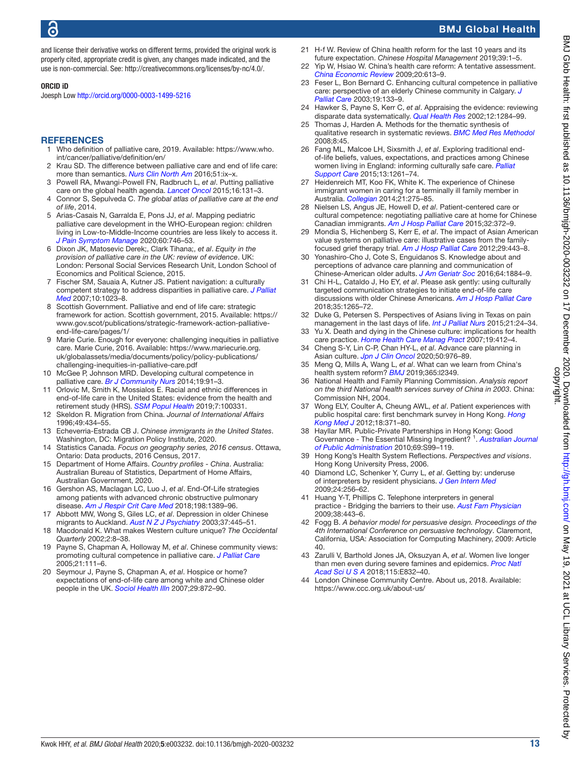### BMJ Global Health

and license their derivative works on different terms, provided the original work is properly cited, appropriate credit is given, any changes made indicated, and the use is non-commercial. See:<http://creativecommons.org/licenses/by-nc/4.0/>.

### ORCID iD

Joesph Low<http://orcid.org/0000-0003-1499-5216>

### **REFERENCES**

- <span id="page-12-0"></span>1 Who definition of palliative care, 2019. Available: [https://www.who.](https://www.who.int/cancer/palliative/definition/en/) [int/cancer/palliative/definition/en/](https://www.who.int/cancer/palliative/definition/en/)
- 2 Krau SD. The difference between palliative care and end of life care: more than semantics. *[Nurs Clin North Am](http://dx.doi.org/10.1016/j.cnur.2016.07.002)* 2016;51:ix–x.
- <span id="page-12-1"></span>3 Powell RA, Mwangi-Powell FN, Radbruch L, *et al*. Putting palliative care on the global health agenda. *[Lancet Oncol](http://dx.doi.org/10.1016/S1470-2045(15)70002-1)* 2015;16:131–3.
- <span id="page-12-2"></span>4 Connor S, Sepulveda C. *The global atlas of palliative care at the end of life*, 2014.
- 5 Arias-Casais N, Garralda E, Pons JJ, *et al*. Mapping pediatric palliative care development in the WHO-European region: children living in Low-to-Middle-Income countries are less likely to access it. *[J Pain Symptom Manage](http://dx.doi.org/10.1016/j.jpainsymman.2020.04.028)* 2020;60:746–53.
- <span id="page-12-3"></span>6 Dixon JK, Matosevic Derek;, Clark Tihana;, *et al*. *Equity in the provision of palliative care in the UK: review of evidence*. UK: London: Personal Social Services Research Unit, London School of Economics and Political Science, 2015.
- <span id="page-12-4"></span>7 Fischer SM, Sauaia A, Kutner JS. Patient navigation: a culturally competent strategy to address disparities in palliative care. *[J Palliat](http://dx.doi.org/10.1089/jpm.2007.0070)  [Med](http://dx.doi.org/10.1089/jpm.2007.0070)* 2007;10:1023–8.
- <span id="page-12-5"></span>8 Scottish Government. Palliative and end of life care: strategic framework for action. Scottish government, 2015. Available: [https://](https://www.gov.scot/publications/strategic-framework-action-palliative-end-life-care/pages/1/) [www.gov.scot/publications/strategic-framework-action-palliative](https://www.gov.scot/publications/strategic-framework-action-palliative-end-life-care/pages/1/)[end-life-care/pages/1/](https://www.gov.scot/publications/strategic-framework-action-palliative-end-life-care/pages/1/)
- <span id="page-12-6"></span>9 Marie Curie. Enough for everyone: challenging inequities in palliative care. Marie Curie, 2016. Available: [https://www.mariecurie.org.](https://www.mariecurie.org.uk/globalassets/media/documents/policy/policy-publications/challenging-inequities-in-palliative-care.pdf) [uk/globalassets/media/documents/policy/policy-publications/](https://www.mariecurie.org.uk/globalassets/media/documents/policy/policy-publications/challenging-inequities-in-palliative-care.pdf) [challenging-inequities-in-palliative-care.pdf](https://www.mariecurie.org.uk/globalassets/media/documents/policy/policy-publications/challenging-inequities-in-palliative-care.pdf)
- <span id="page-12-7"></span>10 McGee P, Johnson MRD. Developing cultural competence in palliative care. *[Br J Community Nurs](http://dx.doi.org/10.12968/bjcn.2014.19.2.91)* 2014;19:91–3.
- <span id="page-12-8"></span>11 Orlovic M, Smith K, Mossialos E. Racial and ethnic differences in end-of-life care in the United States: evidence from the health and retirement study (HRS). *[SSM Popul Health](http://dx.doi.org/10.1016/j.ssmph.2018.100331)* 2019;7:100331.
- <span id="page-12-9"></span>12 Skeldon R. Migration from China. *Journal of International Affairs* 1996;49:434–55.
- <span id="page-12-10"></span>13 Echeverria-Estrada CB J. *Chinese immigrants in the United States*. Washington, DC: Migration Policy Institute, 2020.
- 14 Statistics Canada. *Focus on geography series, 2016 census*. Ottawa, Ontario: Data products, 2016 Census, 2017.
- 15 Department of Home Affairs. *Country profiles China*. Australia: Australian Bureau of Statistics, Department of Home Affairs, Australian Government, 2020.
- <span id="page-12-11"></span>16 Gershon AS, Maclagan LC, Luo J, *et al*. End-Of-Life strategies among patients with advanced chronic obstructive pulmonary disease. *[Am J Respir Crit Care Med](http://dx.doi.org/10.1164/rccm.201803-0592OC)* 2018;198:1389–96.
- 17 Abbott MW, Wong S, Giles LC, *et al*. Depression in older Chinese migrants to Auckland. *[Aust N Z J Psychiatry](http://dx.doi.org/10.1046/j.1440-1614.2003.01212.x)* 2003;37:445–51.
- <span id="page-12-12"></span>18 Macdonald K. What makes Western culture unique? *The Occidental Quarterly* 2002;2:8–38.
- <span id="page-12-13"></span>19 Payne S, Chapman A, Holloway M, *et al*. Chinese community views: promoting cultural competence in palliative care. *[J Palliat Care](http://dx.doi.org/10.1177/082585970502100207)* 2005;21:111–6.
- 20 Seymour J, Payne S, Chapman A, *et al*. Hospice or home? expectations of end-of-life care among white and Chinese older people in the UK. *[Sociol Health Illn](http://dx.doi.org/10.1111/j.1467-9566.2007.01045.x)* 2007;29:872–90.
- <span id="page-12-14"></span>H-f W. Review of China health reform for the last 10 years and its future expectation. *Chinese Hospital Management* 2019;39:1–5.
- 22 Yip W, Hsiao W. China's health care reform: A tentative assessment. *[China Economic Review](http://dx.doi.org/10.1016/j.chieco.2009.08.003)* 2009;20:613–9.
- <span id="page-12-15"></span>23 Feser L, Bon Bernard C. Enhancing cultural competence in palliative care: perspective of an elderly Chinese community in Calgary. *[J](http://dx.doi.org/10.1177/082585970301900211)  [Palliat Care](http://dx.doi.org/10.1177/082585970301900211)* 2003;19:133–9.
- <span id="page-12-16"></span>24 Hawker S, Payne S, Kerr C, *et al*. Appraising the evidence: reviewing disparate data systematically. *[Qual Health Res](http://dx.doi.org/10.1177/1049732302238251)* 2002;12:1284–99.
- <span id="page-12-17"></span>25 Thomas J, Harden A. Methods for the thematic synthesis of qualitative research in systematic reviews. *[BMC Med Res Methodol](http://dx.doi.org/10.1186/1471-2288-8-45)*  $2008.8.45$
- <span id="page-12-18"></span>26 Fang ML, Malcoe LH, Sixsmith J, *et al*. Exploring traditional endof-life beliefs, values, expectations, and practices among Chinese women living in England: informing culturally safe care. *[Palliat](http://dx.doi.org/10.1017/S1478951514001126)  [Support Care](http://dx.doi.org/10.1017/S1478951514001126)* 2015;13:1261–74.
- <span id="page-12-20"></span>27 Heidenreich MT, Koo FK, White K. The experience of Chinese immigrant women in caring for a terminally ill family member in Australia. *[Collegian](http://dx.doi.org/10.1016/j.colegn.2013.06.002)* 2014;21:275–85.
- <span id="page-12-21"></span>28 Nielsen LS, Angus JE, Howell D, *et al*. Patient-centered care or cultural competence: negotiating palliative care at home for Chinese Canadian immigrants. *[Am J Hosp Palliat Care](http://dx.doi.org/10.1177/1049909114527338)* 2015;32:372–9.
- <span id="page-12-19"></span>29 Mondia S, Hichenberg S, Kerr E, *et al*. The impact of Asian American value systems on palliative care: illustrative cases from the familyfocused grief therapy trial. *[Am J Hosp Palliat Care](http://dx.doi.org/10.1177/1049909111426281)* 2012;29:443–8.
- <span id="page-12-22"></span>30 Yonashiro-Cho J, Cote S, Enguidanos S. Knowledge about and perceptions of advance care planning and communication of Chinese-American older adults. *[J Am Geriatr Soc](http://dx.doi.org/10.1111/jgs.14261)* 2016;64:1884–9.
- <span id="page-12-23"></span>31 Chi H-L, Cataldo J, Ho EY, *et al*. Please ask gently: using culturally targeted communication strategies to initiate end-of-life care discussions with older Chinese Americans. *[Am J Hosp Palliat Care](http://dx.doi.org/10.1177/1049909118760310)* 2018;35:1265–72.
- <span id="page-12-24"></span>32 Duke G, Petersen S. Perspectives of Asians living in Texas on pain management in the last days of life. *[Int J Palliat Nurs](http://dx.doi.org/10.12968/ijpn.2015.21.1.24)* 2015;21:24–34.
- <span id="page-12-25"></span>33 Yu X. Death and dying in the Chinese culture: implications for health care practice. *[Home Health Care Manag Pract](http://dx.doi.org/10.1177/1084822307301306)* 2007;19:412–4.
- 34 Cheng S-Y, Lin C-P, Chan HY-L, *et al*. Advance care planning in Asian culture. *[Jpn J Clin Oncol](http://dx.doi.org/10.1093/jjco/hyaa131)* 2020;50:976–89.
- <span id="page-12-26"></span>35 Meng Q, Mills A, Wang L, *et al*. What can we learn from China's health system reform? *[BMJ](http://dx.doi.org/10.1136/bmj.l2349)* 2019;365:l2349.
- <span id="page-12-27"></span>36 National Health and Family Planning Commission. *Analysis report on the third National health services survey of China in 2003*. China: Commission NH, 2004.
- <span id="page-12-28"></span>37 Wong ELY, Coulter A, Cheung AWL, *et al*. Patient experiences with public hospital care: first benchmark survey in Hong Kong. *[Hong](http://www.ncbi.nlm.nih.gov/pubmed/http://www.ncbi.nlm.nih.gov/pubmed/23018064)  [Kong Med J](http://www.ncbi.nlm.nih.gov/pubmed/http://www.ncbi.nlm.nih.gov/pubmed/23018064)* 2012;18:371–80.
- <span id="page-12-29"></span>38 Hayllar MR. Public-Private Partnerships in Hong Kong: Good Governance - The Essential Missing Ingredient?<sup>1</sup>. Australian Journal *[of Public Administration](http://dx.doi.org/10.1111/j.1467-8500.2010.00675.x)* 2010;69:S99–119.
- <span id="page-12-30"></span>39 Hong Kong's Health System Reflections. *Perspectives and visions*. Hong Kong University Press, 2006.
- <span id="page-12-31"></span>40 Diamond LC, Schenker Y, Curry L, *et al*. Getting by: underuse of interpreters by resident physicians. *[J Gen Intern Med](http://dx.doi.org/10.1007/s11606-008-0875-7)* 2009;24:256–62.
- <span id="page-12-34"></span>41 Huang Y-T, Phillips C. Telephone interpreters in general practice - Bridging the barriers to their use. *[Aust Fam Physician](http://www.ncbi.nlm.nih.gov/pubmed/http://www.ncbi.nlm.nih.gov/pubmed/19521589)* 2009;38:443–6.
- <span id="page-12-32"></span>42 Fogg B. *A behavior model for persuasive design. Proceedings of the 4th International Conference on persuasive technology*. Claremont, California, USA: Association for Computing Machinery, 2009: Article 40.
- <span id="page-12-33"></span>43 Zarulli V, Barthold Jones JA, Oksuzyan A, *et al*. Women live longer than men even during severe famines and epidemics. *[Proc Natl](http://dx.doi.org/10.1073/pnas.1701535115)  [Acad Sci U S A](http://dx.doi.org/10.1073/pnas.1701535115)* 2018;115:E832–40.
- <span id="page-12-35"></span>London Chinese Community Centre. About us, 2018. Available: <https://www.ccc.org.uk/about-us/>